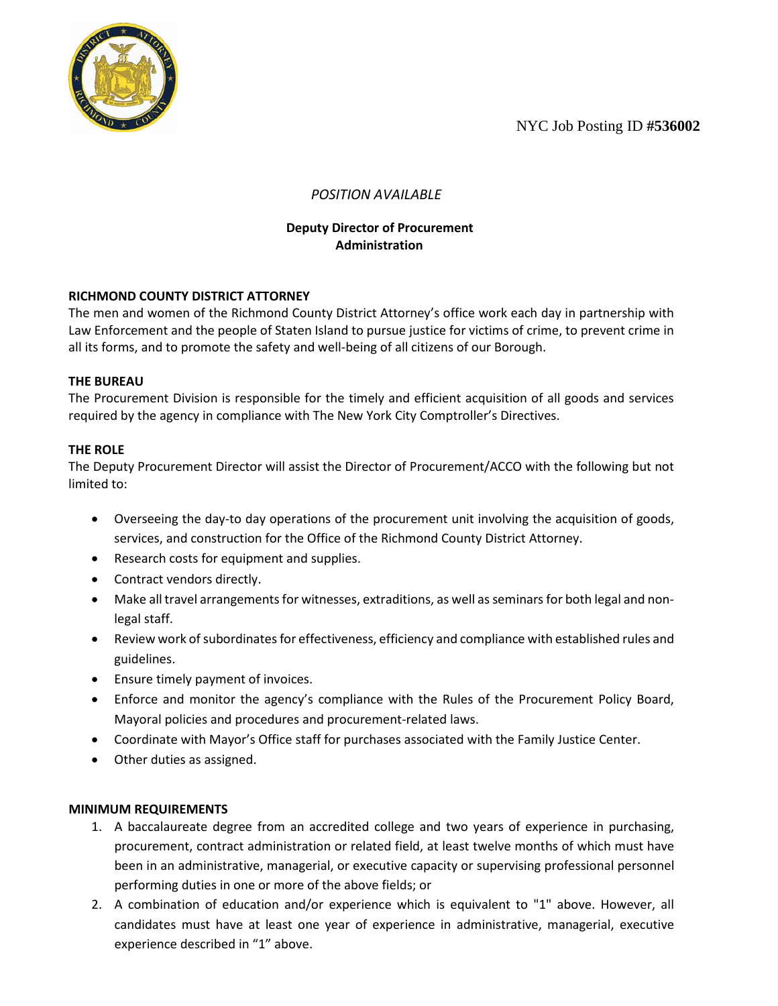NYC Job Posting ID **#536002**



# *POSITION AVAILABLE*

## **Deputy Director of Procurement Administration**

## **RICHMOND COUNTY DISTRICT ATTORNEY**

The men and women of the Richmond County District Attorney's office work each day in partnership with Law Enforcement and the people of Staten Island to pursue justice for victims of crime, to prevent crime in all its forms, and to promote the safety and well-being of all citizens of our Borough.

## **THE BUREAU**

The Procurement Division is responsible for the timely and efficient acquisition of all goods and services required by the agency in compliance with The New York City Comptroller's Directives.

## **THE ROLE**

The Deputy Procurement Director will assist the Director of Procurement/ACCO with the following but not limited to:

- Overseeing the day-to day operations of the procurement unit involving the acquisition of goods, services, and construction for the Office of the Richmond County District Attorney.
- Research costs for equipment and supplies.
- Contract vendors directly.
- Make all travel arrangements for witnesses, extraditions, as well as seminars for both legal and nonlegal staff.
- Review work of subordinates for effectiveness, efficiency and compliance with established rules and guidelines.
- Ensure timely payment of invoices.
- Enforce and monitor the agency's compliance with the Rules of the Procurement Policy Board, Mayoral policies and procedures and procurement-related laws.
- Coordinate with Mayor's Office staff for purchases associated with the Family Justice Center.
- Other duties as assigned.

### **MINIMUM REQUIREMENTS**

- 1. A baccalaureate degree from an accredited college and two years of experience in purchasing, procurement, contract administration or related field, at least twelve months of which must have been in an administrative, managerial, or executive capacity or supervising professional personnel performing duties in one or more of the above fields; or
- 2. A combination of education and/or experience which is equivalent to "1" above. However, all candidates must have at least one year of experience in administrative, managerial, executive experience described in "1" above.